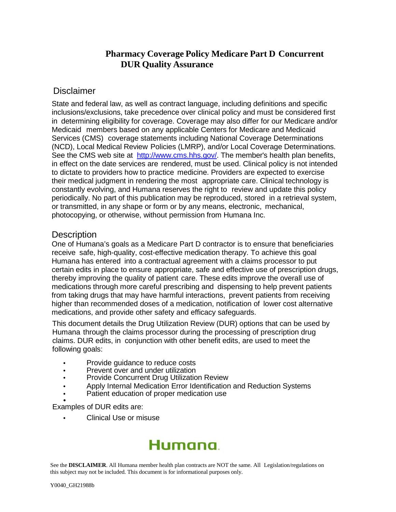# **Pharmacy Coverage Policy Medicare Part D Concurrent DUR Quality Assurance**

### Disclaimer

State and federal law, as well as contract language, including definitions and specific inclusions/exclusions, take precedence over clinical policy and must be considered first in determining eligibility for coverage. Coverage may also differ for our Medicare and/or Medicaid members based on any applicable Centers for Medicare and Medicaid Services (CMS) coverage statements including National Coverage Determinations (NCD), Local Medical Review Policies (LMRP), and/or Local Coverage Determinations. See the CMS web site at [http://www.cms.hhs.gov/.](http://www.cms.hhs.gov/) The member's health plan benefits, in effect on the date services are rendered, must be used. Clinical policy is not intended to dictate to providers how to practice medicine. Providers are expected to exercise their medical judgment in rendering the most appropriate care. Clinical technology is constantly evolving, and Humana reserves the right to review and update this policy periodically. No part of this publication may be reproduced, stored in a retrieval system, or transmitted, in any shape or form or by any means, electronic, mechanical, photocopying, or otherwise, without permission from Humana Inc.

### **Description**

One of Humana's goals as a Medicare Part D contractor is to ensure that beneficiaries receive safe, high-quality, cost-effective medication therapy. To achieve this goal Humana has entered into a contractual agreement with a claims processor to put certain edits in place to ensure appropriate, safe and effective use of prescription drugs, thereby improving the quality of patient care. These edits improve the overall use of medications through more careful prescribing and dispensing to help prevent patients from taking drugs that may have harmful interactions, prevent patients from receiving higher than recommended doses of a medication, notification of lower cost alternative medications, and provide other safety and efficacy safeguards.

This document details the Drug Utilization Review (DUR) options that can be used by Humana through the claims processor during the processing of prescription drug claims. DUR edits, in conjunction with other benefit edits, are used to meet the following goals:

- Provide guidance to reduce costs
- Prevent over and under utilization
- Provide Concurrent Drug Utilization Review
- Apply Internal Medication Error Identification and Reduction Systems
- Patient education of proper medication use<br>Examples of DUR edits are:

• Clinical Use or misuse

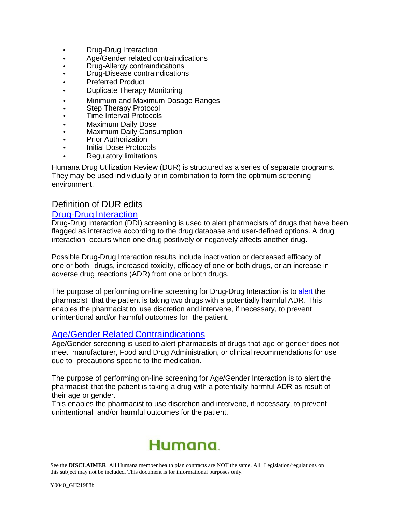- Drug-Drug Interaction
- Age/Gender related contraindications
- Drug-Allergy contraindications
- Drug-Disease contraindications
- Preferred Product
- Duplicate Therapy Monitoring
- Minimum and Maximum Dosage Ranges
- Step Therapy Protocol
- Time Interval Protocols
- Maximum Daily Dose
- Maximum Daily Consumption
- Prior Authorization
- Initial Dose Protocols
- Regulatory limitations

Humana Drug Utilization Review (DUR) is structured as a series of separate programs. They may be used individually or in combination to form the optimum screening environment.

### Definition of DUR edits

#### Drug-Drug Interaction

Drug-Drug Interaction (DDI) screening is used to alert pharmacists of drugs that have been flagged as interactive according to the drug database and user-defined options. A drug interaction occurs when one drug positively or negatively affects another drug.

Possible Drug-Drug Interaction results include inactivation or decreased efficacy of one or both drugs, increased toxicity, efficacy of one or both drugs, or an increase in adverse drug reactions (ADR) from one or both drugs.

The purpose of performing on-line screening for Drug-Drug Interaction is to alert the pharmacist that the patient is taking two drugs with a potentially harmful ADR. This enables the pharmacist to use discretion and intervene, if necessary, to prevent unintentional and/or harmful outcomes for the patient.

#### Age/Gender Related Contraindications

Age/Gender screening is used to alert pharmacists of drugs that age or gender does not meet manufacturer, Food and Drug Administration, or clinical recommendations for use due to precautions specific to the medication.

The purpose of performing on-line screening for Age/Gender Interaction is to alert the pharmacist that the patient is taking a drug with a potentially harmful ADR as result of their age or gender.

This enables the pharmacist to use discretion and intervene, if necessary, to prevent unintentional and/or harmful outcomes for the patient.

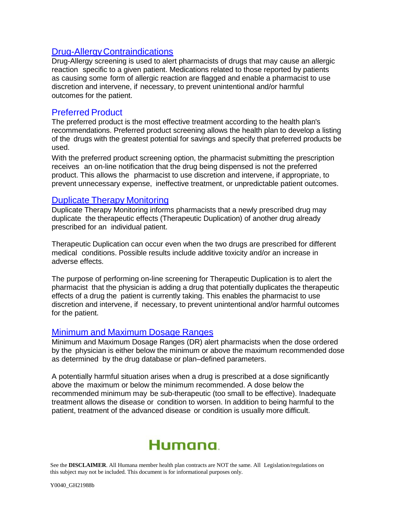#### **Drug-Allergy Contraindications**

Drug-Allergy screening is used to alert pharmacists of drugs that may cause an allergic reaction specific to a given patient. Medications related to those reported by patients as causing some form of allergic reaction are flagged and enable a pharmacist to use discretion and intervene, if necessary, to prevent unintentional and/or harmful outcomes for the patient.

## Preferred Product

The preferred product is the most effective treatment according to the health plan's recommendations. Preferred product screening allows the health plan to develop a listing of the drugs with the greatest potential for savings and specify that preferred products be used.

With the preferred product screening option, the pharmacist submitting the prescription receives an on-line notification that the drug being dispensed is not the preferred product. This allows the pharmacist to use discretion and intervene, if appropriate, to prevent unnecessary expense, ineffective treatment, or unpredictable patient outcomes.

### Duplicate Therapy Monitoring

Duplicate Therapy Monitoring informs pharmacists that a newly prescribed drug may duplicate the therapeutic effects (Therapeutic Duplication) of another drug already prescribed for an individual patient.

Therapeutic Duplication can occur even when the two drugs are prescribed for different medical conditions. Possible results include additive toxicity and/or an increase in adverse effects.

The purpose of performing on-line screening for Therapeutic Duplication is to alert the pharmacist that the physician is adding a drug that potentially duplicates the therapeutic effects of a drug the patient is currently taking. This enables the pharmacist to use discretion and intervene, if necessary, to prevent unintentional and/or harmful outcomes for the patient.

### Minimum and Maximum Dosage Ranges

Minimum and Maximum Dosage Ranges (DR) alert pharmacists when the dose ordered by the physician is either below the minimum or above the maximum recommended dose as determined by the drug database or plan–defined parameters.

A potentially harmful situation arises when a drug is prescribed at a dose significantly above the maximum or below the minimum recommended. A dose below the recommended minimum may be sub-therapeutic (too small to be effective). Inadequate treatment allows the disease or condition to worsen. In addition to being harmful to the patient, treatment of the advanced disease or condition is usually more difficult.

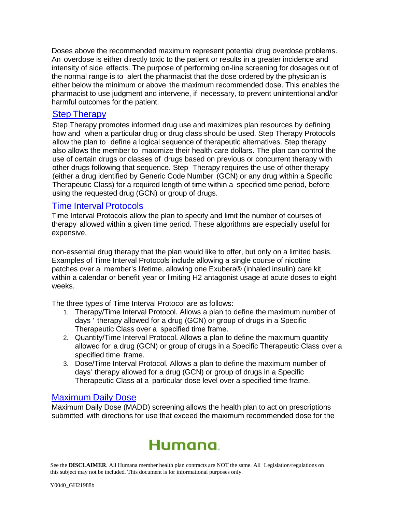Doses above the recommended maximum represent potential drug overdose problems. An overdose is either directly toxic to the patient or results in a greater incidence and intensity of side effects. The purpose of performing on-line screening for dosages out of the normal range is to alert the pharmacist that the dose ordered by the physician is either below the minimum or above the maximum recommended dose. This enables the pharmacist to use judgment and intervene, if necessary, to prevent unintentional and/or harmful outcomes for the patient.

#### Step Therapy

Step Therapy promotes informed drug use and maximizes plan resources by defining how and when a particular drug or drug class should be used. Step Therapy Protocols allow the plan to define a logical sequence of therapeutic alternatives. Step therapy also allows the member to maximize their health care dollars. The plan can control the use of certain drugs or classes of drugs based on previous or concurrent therapy with other drugs following that sequence. Step Therapy requires the use of other therapy (either a drug identified by Generic Code Number (GCN) or any drug within a Specific Therapeutic Class) for a required length of time within a specified time period, before using the requested drug (GCN) or group of drugs.

### Time Interval Protocols

Time Interval Protocols allow the plan to specify and limit the number of courses of therapy allowed within a given time period. These algorithms are especially useful for expensive,

non-essential drug therapy that the plan would like to offer, but only on a limited basis. Examples of Time Interval Protocols include allowing a single course of nicotine patches over a member's lifetime, allowing one Exubera® (inhaled insulin) care kit within a calendar or benefit year or limiting H2 antagonist usage at acute doses to eight weeks.

The three types of Time Interval Protocol are as follows:

- 1. Therapy/Time Interval Protocol. Allows a plan to define the maximum number of days ' therapy allowed for a drug (GCN) or group of drugs in a Specific Therapeutic Class over a specified time frame.
- 2. Quantity/Time Interval Protocol. Allows a plan to define the maximum quantity allowed for a drug (GCN) or group of drugs in a Specific Therapeutic Class over a specified time frame.
- 3. Dose/Time Interval Protocol. Allows a plan to define the maximum number of days' therapy allowed for a drug (GCN) or group of drugs in a Specific Therapeutic Class at a particular dose level over a specified time frame.

### Maximum Daily Dose

Maximum Daily Dose (MADD) screening allows the health plan to act on prescriptions submitted with directions for use that exceed the maximum recommended dose for the

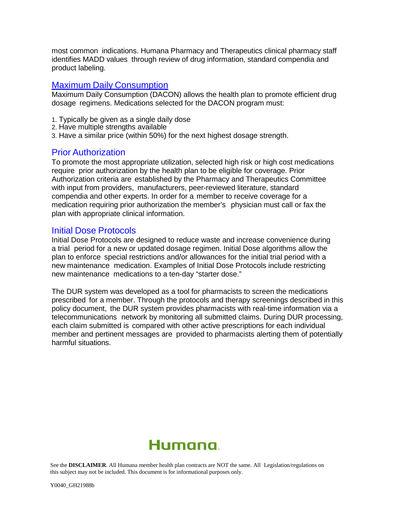most common indications. Humana Pharmacy and Therapeutics clinical pharmacy staff identifies MADD values through review of drug information, standard compendia and product labeling.

#### Maximum Daily Consumption

Maximum Daily Consumption (DACON) allows the health plan to promote efficient drug dosage regimens. Medications selected for the DACON program must:

- 1. Typically be given as a single daily dose
- 2. Have multiple strengths available
- 3. Have a similar price (within 50%) for the next highest dosage strength.

### Prior Authorization

To promote the most appropriate utilization, selected high risk or high cost medications require prior authorization by the health plan to be eligible for coverage. Prior Authorization criteria are established by the Pharmacy and Therapeutics Committee with input from providers, manufacturers, peer-reviewed literature, standard compendia and other experts. In order for a member to receive coverage for a medication requiring prior authorization the member's physician must call or fax the plan with appropriate clinical information.

### Initial Dose Protocols

Initial Dose Protocols are designed to reduce waste and increase convenience during a trial period for a new or updated dosage regimen. Initial Dose algorithms allow the plan to enforce special restrictions and/or allowances for the initial trial period with a new maintenance medication. Examples of Initial Dose Protocols include restricting new maintenance medications to a ten-day "starter dose."

The DUR system was developed as a tool for pharmacists to screen the medications prescribed for a member. Through the protocols and therapy screenings described in this policy document, the DUR system provides pharmacists with real-time information via a telecommunications network by monitoring all submitted claims. During DUR processing, each claim submitted is compared with other active prescriptions for each individual member and pertinent messages are provided to pharmacists alerting them of potentially harmful situations.